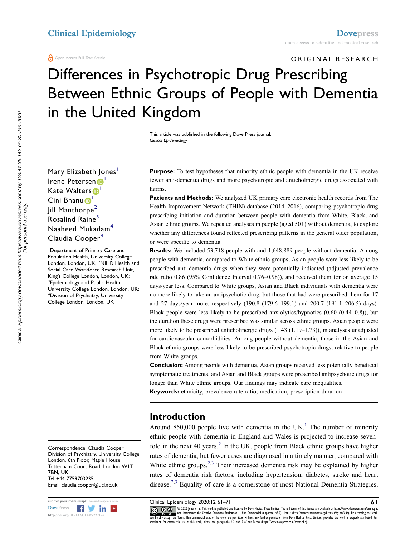ORIGINAL RESEARCH

# Differences in Psychotropic Drug Prescribing Between Ethnic Groups of People with Dementia in the United Kingdom

This article was published in the following Dove Press journal: Clinical Epidemiology

Mary Elizabeth Jones<sup>[1](#page-0-0)</sup> Irene Petersen<sup>D</sup> Kate Walters<sup>[1](#page-0-0)</sup> Cini Bhanu<sup>[1](#page-0-0)</sup> **Jill Manthorpe<sup>[2](#page-0-1)</sup>** Rosalind Raine<sup>[3](#page-0-2)</sup> Naaheed Mukadam[4](#page-0-3) Claudia Cooper<sup>[4](#page-0-3)</sup>

<span id="page-0-3"></span><span id="page-0-2"></span><span id="page-0-1"></span><span id="page-0-0"></span>Department of Primary Care and Population Health, University College London, London, UK; <sup>2</sup>NIHR Health and Social Care Workforce Research Unit, King's College London, London, UK; <sup>3</sup> Epidemiology and Public Health, University College London, London, UK; 4 Division of Psychiatry, University College London, London, UK

Correspondence: Claudia Cooper Division of Psychiatry, University College London, 6th Floor, Maple House, Tottenham Court Road, London W1T 7BN, UK Tel +44 7759703235 Email claudia.cooper@ucl.ac.uk



**Purpose:** To test hypotheses that minority ethnic people with dementia in the UK receive fewer anti-dementia drugs and more psychotropic and anticholinergic drugs associated with harms.

Patients and Methods: We analyzed UK primary care electronic health records from The Health Improvement Network (THIN) database (2014–2016), comparing psychotropic drug prescribing initiation and duration between people with dementia from White, Black, and Asian ethnic groups. We repeated analyses in people (aged 50+) without dementia, to explore whether any differences found reflected prescribing patterns in the general older population, or were specific to dementia.

Results: We included 53,718 people with and 1,648,889 people without dementia. Among people with dementia, compared to White ethnic groups, Asian people were less likely to be prescribed anti-dementia drugs when they were potentially indicated (adjusted prevalence rate ratio 0.86 (95% Confidence Interval 0.76–0.98)), and received them for on average 15 days/year less. Compared to White groups, Asian and Black individuals with dementia were no more likely to take an antipsychotic drug, but those that had were prescribed them for 17 and 27 days/year more, respectively (190.8 (179.6–199.1) and 200.7 (191.1–206.5) days). Black people were less likely to be prescribed anxiolytics/hypnotics (0.60 (0.44–0.8)), but the duration these drugs were prescribed was similar across ethnic groups. Asian people were more likely to be prescribed anticholinergic drugs (1.43 (1.19–1.73)), in analyses unadjusted for cardiovascular comorbidities. Among people without dementia, those in the Asian and Black ethnic groups were less likely to be prescribed psychotropic drugs, relative to people from White groups.

Conclusion: Among people with dementia, Asian groups received less potentially beneficial symptomatic treatments, and Asian and Black groups were prescribed antipsychotic drugs for longer than White ethnic groups. Our findings may indicate care inequalities.

Keywords: ethnicity, prevalence rate ratio, medication, prescription duration

#### Introduction

<span id="page-0-4"></span>Around 850,000 people live with dementia in the UK.<sup>[1](#page-9-0)</sup> The number of minority ethnic people with dementia in England and Wales is projected to increase sevenfold in the next 40 years. $<sup>2</sup>$  In the UK, people from Black ethnic groups have higher</sup> rates of dementia, but fewer cases are diagnosed in a timely manner, compared with White ethnic groups.<sup>[2](#page-9-1),[3](#page-9-2)</sup> Their increased dementia risk may be explained by higher rates of dementia risk factors, including hypertension, diabetes, stroke and heart disease.<sup>[2](#page-9-1)[,3](#page-9-2)</sup> Equality of care is a cornerstone of most National Dementia Strategies,

<span id="page-0-5"></span>

submit your manuscript | www.dovepress.com **Clinical Epidemiology 2020:12 61—71**<br>[DovePress](http://www.dovepress.com) Film Dina Conference Conference all this work is published and licensed by Dove Medical Press Limited. The full terms of this licen www.particle.com and incorporate the Creative Commons Attribution — Non Commercial (unported, v3.0) License (http://creativecommons.org/licenses/by-nc/3.0/). By accessing the work<br>you hereby accept the Terms. Non-commercia permission for commercial use of this work, please see paragraphs 4.2 and 5 of our Terms (https://www.dovepress.com/terms.php).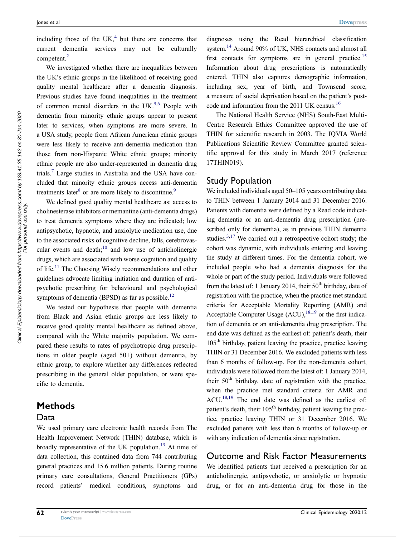<span id="page-1-0"></span>including those of the  $UK<sub>1</sub><sup>4</sup>$  $UK<sub>1</sub><sup>4</sup>$  $UK<sub>1</sub><sup>4</sup>$  but there are concerns that current dementia services may not be culturally competent.<sup>[2](#page-9-1)</sup>

<span id="page-1-1"></span>We investigated whether there are inequalities between the UK's ethnic groups in the likelihood of receiving good quality mental healthcare after a dementia diagnosis. Previous studies have found inequalities in the treatment of common mental disorders in the UK.<sup>5[,6](#page-9-5)</sup> People with dementia from minority ethnic groups appear to present later to services, when symptoms are more severe. In a USA study, people from African American ethnic groups were less likely to receive anti-dementia medication than those from non-Hispanic White ethnic groups; minority ethnic people are also under-represented in dementia drug trials.[7](#page-9-6) Large studies in Australia and the USA have concluded that minority ethnic groups access anti-dementia treatments later<sup>8</sup> or are more likely to discontinue.<sup>9</sup>

<span id="page-1-4"></span><span id="page-1-3"></span><span id="page-1-2"></span>We defined good quality mental healthcare as: access to cholinesterase inhibitors or memantine (anti-dementia drugs) to treat dementia symptoms where they are indicated; low antipsychotic, hypnotic, and anxiolytic medication use, due to the associated risks of cognitive decline, falls, cerebrovascular events and death; $10$  and low use of anticholinergic drugs, which are associated with worse cognition and quality of life.[11](#page-9-10) The Choosing Wisely recommendations and other guidelines advocate limiting initiation and duration of antipsychotic prescribing for behavioural and psychological symptoms of dementia (BPSD) as far as possible.<sup>[12](#page-9-11)</sup>

<span id="page-1-6"></span><span id="page-1-5"></span>We tested our hypothesis that people with dementia from Black and Asian ethnic groups are less likely to receive good quality mental healthcare as defined above, compared with the White majority population. We compared these results to rates of psychotropic drug prescriptions in older people (aged 50+) without dementia, by ethnic group, to explore whether any differences reflected prescribing in the general older population, or were specific to dementia.

#### Methods

#### Data

<span id="page-1-7"></span>We used primary care electronic health records from The Health Improvement Network (THIN) database, which is broadly representative of the UK population.<sup>13</sup> At time of data collection, this contained data from 744 contributing general practices and 15.6 million patients. During routine primary care consultations, General Practitioners (GPs) record patients' medical conditions, symptoms and

<span id="page-1-9"></span><span id="page-1-8"></span>diagnoses using the Read hierarchical classification system[.14](#page-9-13) Around 90% of UK, NHS contacts and almost all first contacts for symptoms are in general practice.<sup>15</sup> Information about drug prescriptions is automatically entered. THIN also captures demographic information, including sex, year of birth, and Townsend score, a measure of social deprivation based on the patient's postcode and information from the 2011 UK census[.16](#page-9-15)

<span id="page-1-10"></span>The National Health Service (NHS) South-East Multi-Centre Research Ethics Committee approved the use of THIN for scientific research in 2003. The IQVIA World Publications Scientific Review Committee granted scientific approval for this study in March 2017 (reference 17THIN019).

#### Study Population

<span id="page-1-11"></span>We included individuals aged 50–105 years contributing data to THIN between 1 January 2014 and 31 December 2016. Patients with dementia were defined by a Read code indicating dementia or an anti-dementia drug prescription (prescribed only for dementia), as in previous THIN dementia studies.<sup>3,[17](#page-9-16)</sup> We carried out a retrospective cohort study; the cohort was dynamic, with individuals entering and leaving the study at different times. For the dementia cohort, we included people who had a dementia diagnosis for the whole or part of the study period. Individuals were followed from the latest of: 1 January 2014, their  $50<sup>th</sup>$  birthday, date of registration with the practice, when the practice met standard criteria for Acceptable Mortality Reporting (AMR) and Acceptable Computer Usage  $(ACU)$ ,  $^{18,19}$  $^{18,19}$  $^{18,19}$  or the first indication of dementia or an anti-dementia drug prescription. The end date was defined as the earliest of: patient's death, their  $105<sup>th</sup>$  birthday, patient leaving the practice, practice leaving THIN or 31 December 2016. We excluded patients with less than 6 months of follow-up. For the non-dementia cohort, individuals were followed from the latest of: 1 January 2014, their  $50<sup>th</sup>$  birthday, date of registration with the practice, when the practice met standard criteria for AMR and ACU[.18](#page-9-17)[,19](#page-9-18) The end date was defined as the earliest of: patient's death, their  $105<sup>th</sup>$  birthday, patient leaving the practice, practice leaving THIN or 31 December 2016. We excluded patients with less than 6 months of follow-up or with any indication of dementia since registration.

#### <span id="page-1-12"></span>Outcome and Risk Factor Measurements

We identified patients that received a prescription for an anticholinergic, antipsychotic, or anxiolytic or hypnotic drug, or for an anti-dementia drug for those in the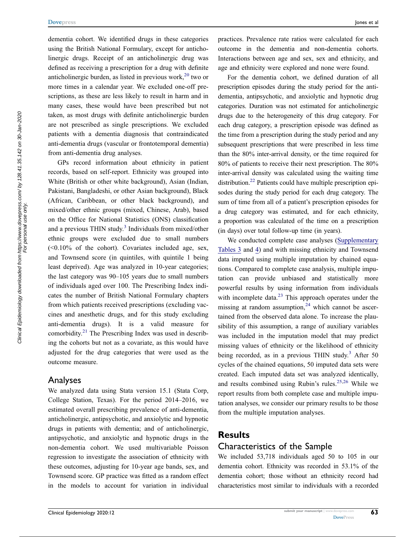<span id="page-2-0"></span>dementia cohort. We identified drugs in these categories using the British National Formulary, except for anticholinergic drugs. Receipt of an anticholinergic drug was defined as receiving a prescription for a drug with definite anticholinergic burden, as listed in previous work,<sup>[20](#page-9-19)</sup> two or more times in a calendar year. We excluded one-off prescriptions, as these are less likely to result in harm and in many cases, these would have been prescribed but not taken, as most drugs with definite anticholinergic burden are not prescribed as single prescriptions. We excluded patients with a dementia diagnosis that contraindicated anti-dementia drugs (vascular or frontotemporal dementia) from anti-dementia drug analyses.

GPs record information about ethnicity in patient records, based on self-report. Ethnicity was grouped into White (British or other white background), Asian (Indian, Pakistani, Bangladeshi, or other Asian background), Black (African, Caribbean, or other black background), and mixed/other ethnic groups (mixed, Chinese, Arab), based on the Office for National Statistics (ONS) classification and a previous THIN study.<sup>[3](#page-9-2)</sup> Individuals from mixed/other ethnic groups were excluded due to small numbers  $(<0.10\%$  of the cohort). Covariates included age, sex, and Townsend score (in quintiles, with quintile 1 being least deprived). Age was analyzed in 10-year categories; the last category was 90–105 years due to small numbers of individuals aged over 100. The Prescribing Index indicates the number of British National Formulary chapters from which patients received prescriptions (excluding vaccines and anesthetic drugs, and for this study excluding anti-dementia drugs). It is a valid measure for comorbidity. $^{21}$  $^{21}$  $^{21}$  The Prescribing Index was used in describing the cohorts but not as a covariate, as this would have adjusted for the drug categories that were used as the outcome measure.

#### <span id="page-2-1"></span>Analyses

We analyzed data using Stata version 15.1 (Stata Corp, College Station, Texas). For the period 2014–2016, we estimated overall prescribing prevalence of anti-dementia, anticholinergic, antipsychotic, and anxiolytic and hypnotic drugs in patients with dementia; and of anticholinergic, antipsychotic, and anxiolytic and hypnotic drugs in the non-dementia cohort. We used multivariable Poisson regression to investigate the association of ethnicity with these outcomes, adjusting for 10-year age bands, sex, and Townsend score. GP practice was fitted as a random effect in the models to account for variation in individual

practices. Prevalence rate ratios were calculated for each outcome in the dementia and non-dementia cohorts. Interactions between age and sex, sex and ethnicity, and age and ethnicity were explored and none were found.

For the dementia cohort, we defined duration of all prescription episodes during the study period for the antidementia, antipsychotic, and anxiolytic and hypnotic drug categories. Duration was not estimated for anticholinergic drugs due to the heterogeneity of this drug category. For each drug category, a prescription episode was defined as the time from a prescription during the study period and any subsequent prescriptions that were prescribed in less time than the 80% inter-arrival density, or the time required for 80% of patients to receive their next prescription. The 80% inter-arrival density was calculated using the waiting time distribution.<sup>22</sup> Patients could have multiple prescription episodes during the study period for each drug category. The sum of time from all of a patient's prescription episodes for a drug category was estimated, and for each ethnicity, a proportion was calculated of the time on a prescription (in days) over total follow-up time (in years).

<span id="page-2-4"></span><span id="page-2-3"></span><span id="page-2-2"></span>We conducted complete case analyses ([Supplementary](https://www.dovepress.com/get_supplementary_file.php?f=222126.docx) [Tables 3](https://www.dovepress.com/get_supplementary_file.php?f=222126.docx) and [4\)](https://www.dovepress.com/get_supplementary_file.php?f=222126.docx) and with missing ethnicity and Townsend data imputed using multiple imputation by chained equations. Compared to complete case analysis, multiple imputation can provide unbiased and statistically more powerful results by using information from individuals with incomplete data. $^{23}$  $^{23}$  $^{23}$  This approach operates under the missing at random assumption, $24$  which cannot be ascertained from the observed data alone. To increase the plausibility of this assumption, a range of auxiliary variables was included in the imputation model that may predict missing values of ethnicity or the likelihood of ethnicity being recorded, as in a previous THIN study.<sup>[3](#page-9-2)</sup> After 50 cycles of the chained equations, 50 imputed data sets were created. Each imputed data set was analyzed identically, and results combined using Rubin's rules.[25,](#page-9-24)[26](#page-9-25) While we report results from both complete case and multiple imputation analyses, we consider our primary results to be those from the multiple imputation analyses.

#### <span id="page-2-5"></span>**Results**

#### Characteristics of the Sample

We included 53,718 individuals aged 50 to 105 in our dementia cohort. Ethnicity was recorded in 53.1% of the dementia cohort; those without an ethnicity record had characteristics most similar to individuals with a recorded

63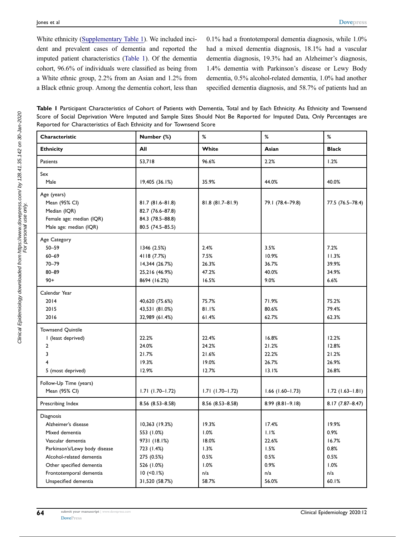White ethnicity ([Supplementary Table 1](https://www.dovepress.com/get_supplementary_file.php?f=222126.docx)). We included incident and prevalent cases of dementia and reported the imputed patient characteristics ([Table 1\)](#page-3-0). Of the dementia cohort, 96.6% of individuals were classified as being from a White ethnic group, 2.2% from an Asian and 1.2% from a Black ethnic group. Among the dementia cohort, less than 0.1% had a frontotemporal dementia diagnosis, while 1.0% had a mixed dementia diagnosis, 18.1% had a vascular dementia diagnosis, 19.3% had an Alzheimer's diagnosis, 1.4% dementia with Parkinson's disease or Lewy Body dementia, 0.5% alcohol-related dementia, 1.0% had another specified dementia diagnosis, and 58.7% of patients had an

<span id="page-3-0"></span>Table I Participant Characteristics of Cohort of Patients with Dementia, Total and by Each Ethnicity. As Ethnicity and Townsend Score of Social Deprivation Were Imputed and Sample Sizes Should Not Be Reported for Imputed Data, Only Percentages are Reported for Characteristics of Each Ethnicity and for Townsend Score

| Characteristic                | Number (%)          | $\%$                | %                   | $\%$               |
|-------------------------------|---------------------|---------------------|---------------------|--------------------|
| <b>Ethnicity</b>              | All                 | White               | Asian               | <b>Black</b>       |
| Patients                      | 53,718              | 96.6%               | 2.2%                | 1.2%               |
| Sex                           |                     |                     |                     |                    |
| Male                          | 19,405 (36.1%)      | 35.9%               | 44.0%               | 40.0%              |
| Age (years)                   |                     |                     |                     |                    |
| Mean (95% CI)                 | 81.7 (81.6-81.8)    | $81.8(81.7 - 81.9)$ | 79.1 (78.4-79.8)    | 77.5 (76.5-78.4)   |
| Median (IQR)                  | 82.7 (76.6-87.8)    |                     |                     |                    |
| Female age: median (IQR)      | 84.3 (78.5-88.8)    |                     |                     |                    |
| Male age: median (IQR)        | 80.5 (74.5-85.5)    |                     |                     |                    |
| Age Category                  |                     |                     |                     |                    |
| $50 - 59$                     | 1346 (2.5%)         | 2.4%                | 3.5%                | 7.2%               |
| $60 - 69$                     | 4118 (7.7%)         | 7.5%                | 10.9%               | 11.3%              |
| $70 - 79$                     | 14,344 (26.7%)      | 26.3%               | 36.7%               | 39.9%              |
| $80 - 89$                     | 25,216 (46.9%)      | 47.2%               | 40.0%               | 34.9%              |
| $90+$                         | 8694 (16.2%)        | 16.5%               | 9.0%                | 6.6%               |
| Calendar Year                 |                     |                     |                     |                    |
| 2014                          | 40,620 (75.6%)      | 75.7%               | 71.9%               | 75.2%              |
| 2015                          | 43,531 (81.0%)      | 81.1%               | 80.6%               | 79.4%              |
| 2016                          | 32,989 (61.4%)      | 61.4%               | 62.7%               | 62.3%              |
| Townsend Quintile             |                     |                     |                     |                    |
| I (least deprived)            | 22.2%               | 22.4%               | 16.8%               | 12.2%              |
| 2                             | 24.0%               | 24.2%               | 21.2%               | 12.8%              |
| 3                             | 21.7%               | 21.6%               | 22.2%               | 21.2%              |
| 4                             | 19.3%               | 19.0%               | 26.7%               | 26.9%              |
| 5 (most deprived)             | 12.9%               | 12.7%               | 13.1%               | 26.8%              |
| Follow-Up Time (years)        |                     |                     |                     |                    |
| Mean (95% CI)                 | $1.71(1.70 - 1.72)$ | $1.71(1.70 - 1.72)$ | $1.66$ (1.60-1.73)  | $1.72$ (1.63-1.81) |
| Prescribing Index             | 8.56 (8.53-8.58)    | $8.56(8.53 - 8.58)$ | $8.99(8.81 - 9.18)$ | 8.17 (7.87-8.47)   |
| Diagnosis                     |                     |                     |                     |                    |
| Alzheimer's disease           | 10,363 (19.3%)      | 19.3%               | 17.4%               | 19.9%              |
| Mixed dementia                | 553 (1.0%)          | 1.0%                | 1.1%                | 0.9%               |
| Vascular dementia             | 9731 (18.1%)        | 18.0%               | 22.6%               | 16.7%              |
| Parkinson's/Lewy body disease | 723 (1.4%)          | 1.3%                | 1.5%                | 0.8%               |
| Alcohol-related dementia      | 275 (0.5%)          | 0.5%                | 0.5%                | 0.5%               |
| Other specified dementia      | 526 (1.0%)          | 1.0%                | 0.9%                | 1.0%               |
| Frontotemporal dementia       | $10$ (<0.1%)        | n/a                 | n/a                 | n/a                |
| Unspecified dementia          | 31,520 (58.7%)      | 58.7%               | 56.0%               | 60.1%              |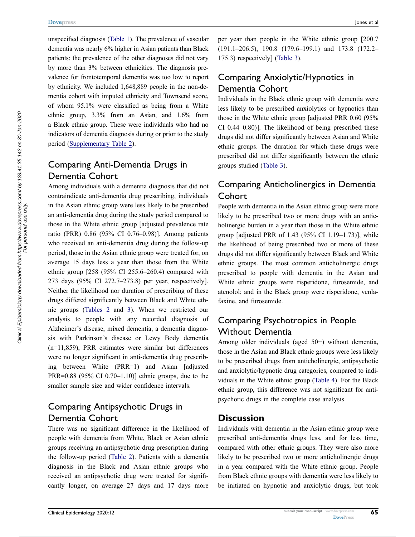unspecified diagnosis ([Table 1](#page-3-0)). The prevalence of vascular dementia was nearly 6% higher in Asian patients than Black patients; the prevalence of the other diagnoses did not vary by more than 3% between ethnicities. The diagnosis prevalence for frontotemporal dementia was too low to report by ethnicity. We included 1,648,889 people in the non-dementia cohort with imputed ethnicity and Townsend score, of whom 95.1% were classified as being from a White ethnic group, 3.3% from an Asian, and 1.6% from a Black ethnic group. These were individuals who had no indicators of dementia diagnosis during or prior to the study period ([Supplementary Table 2\)](https://www.dovepress.com/get_supplementary_file.php?f=222126.docx).

# Comparing Anti-Dementia Drugs in Dementia Cohort

Among individuals with a dementia diagnosis that did not contraindicate anti-dementia drug prescribing, individuals in the Asian ethnic group were less likely to be prescribed an anti-dementia drug during the study period compared to those in the White ethnic group [adjusted prevalence rate ratio (PRR) 0.86 (95% CI 0.76–0.98)]. Among patients who received an anti-dementia drug during the follow-up period, those in the Asian ethnic group were treated for, on average 15 days less a year than those from the White ethnic group [258 (95% CI 255.6–260.4) compared with 273 days (95% CI 272.7–273.8) per year, respectively]. Neither the likelihood nor duration of prescribing of these drugs differed significantly between Black and White ethnic groups [\(Tables 2](#page-5-0) and [3\)](#page-6-0). When we restricted our analysis to people with any recorded diagnosis of Alzheimer's disease, mixed dementia, a dementia diagnosis with Parkinson's disease or Lewy Body dementia (n=11,859), PRR estimates were similar but differences were no longer significant in anti-dementia drug prescribing between White (PRR=1) and Asian [adjusted PRR=0.88 (95% CI 0.70–1.10)] ethnic groups, due to the smaller sample size and wider confidence intervals.

# Comparing Antipsychotic Drugs in Dementia Cohort

There was no significant difference in the likelihood of people with dementia from White, Black or Asian ethnic groups receiving an antipsychotic drug prescription during the follow-up period ([Table 2](#page-5-0)). Patients with a dementia diagnosis in the Black and Asian ethnic groups who received an antipsychotic drug were treated for significantly longer, on average 27 days and 17 days more

per year than people in the White ethnic group [200.7 (191.1–206.5), 190.8 (179.6–199.1) and 173.8 (172.2– 175.3) respectively] [\(Table 3\)](#page-6-0).

# Comparing Anxiolytic/Hypnotics in Dementia Cohort

Individuals in the Black ethnic group with dementia were less likely to be prescribed anxiolytics or hypnotics than those in the White ethnic group [adjusted PRR 0.60 (95% CI 0.44–0.80)]. The likelihood of being prescribed these drugs did not differ significantly between Asian and White ethnic groups. The duration for which these drugs were prescribed did not differ significantly between the ethnic groups studied ([Table 3](#page-6-0)).

# Comparing Anticholinergics in Dementia **Cohort**

People with dementia in the Asian ethnic group were more likely to be prescribed two or more drugs with an anticholinergic burden in a year than those in the White ethnic group [adjusted PRR of 1.43 (95% CI 1.19–1.73)], while the likelihood of being prescribed two or more of these drugs did not differ significantly between Black and White ethnic groups. The most common anticholinergic drugs prescribed to people with dementia in the Asian and White ethnic groups were risperidone, furosemide, and atenolol; and in the Black group were risperidone, venlafaxine, and furosemide.

# Comparing Psychotropics in People Without Dementia

Among older individuals (aged 50+) without dementia, those in the Asian and Black ethnic groups were less likely to be prescribed drugs from anticholinergic, antipsychotic and anxiolytic/hypnotic drug categories, compared to individuals in the White ethnic group [\(Table 4](#page-7-0)). For the Black ethnic group, this difference was not significant for antipsychotic drugs in the complete case analysis.

# **Discussion**

Individuals with dementia in the Asian ethnic group were prescribed anti-dementia drugs less, and for less time, compared with other ethnic groups. They were also more likely to be prescribed two or more anticholinergic drugs in a year compared with the White ethnic group. People from Black ethnic groups with dementia were less likely to be initiated on hypnotic and anxiolytic drugs, but took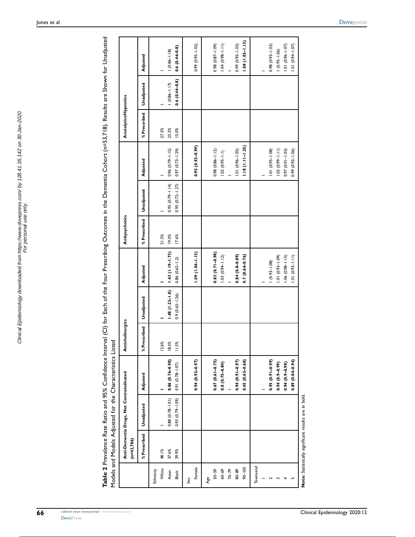<span id="page-5-0"></span>Table 2 Prevalence Rate Ratio and 95% Confidence Interval (CI) for Each of the Four Prescribing Outcomes in the Dementia Cohort (n=53,718). Results are Shown for Unadjusted<br>Models and Models Adjusted for the Characterics L Table 2 Prevalence Rate Ratio and 95% Confidence Interval (CI) for Each of the Four Prescribing Outcomes in the Dementia Cohort (n=53,718). Results are Shown for Unadjusted Models and Models Adjusted for the Characteristics Listed

|                      |              |                                                      | Models and Models Adusted tor the Unaracteristics Listed |                  |                    |                        |                |                     |                      |                       |                 |                      |
|----------------------|--------------|------------------------------------------------------|----------------------------------------------------------|------------------|--------------------|------------------------|----------------|---------------------|----------------------|-----------------------|-----------------|----------------------|
|                      | $(n=43,786)$ | Anti-Dementia Drugs, Not Contraindicated             |                                                          | Anticholinergics |                    |                        | Antipsychotics |                     |                      | Anxiolytics/Hypnotics |                 |                      |
|                      | % Prescribed | Unadjusted                                           | Adjusted                                                 | % Prescribed     | Unadjusted         | Adjusted               | % Prescribed   | Unadjusted          | Adjusted             | % Prescribed          | Unadjusted      | Adjusted             |
| White<br>Ethnicity   | 48.1%        |                                                      |                                                          | 12.6%            |                    |                        | 21.5%          |                     |                      | 27.3%                 |                 |                      |
| Asian                | 37.6%        | $0.88$ $(0.78 - 1.01)$                               | $0.86(0.76 - 0.98)$                                      | 18.3%            | $1.48(1.23 - 1.8)$ | 1.43 (1.19-1.73)       | 19.0%          | $0.95(0.79 - 1.14)$ | $0.96(0.79 - 1.15)$  | 25.3%                 | $(0.86 - 1.17)$ | $(0.86 - 1.18)$      |
| <b>Black</b>         | 39.9%        | $(60.1 - 62.0)$ £60                                  | $0.91 (0.78 - 1.07)$                                     | 11.5%            | $0.9(0.65 - 1.26)$ | $0.86$ $(0.62 - 1.2)$  | 17.6%          | $0.95(0.72 - 1.27)$ | $0.97(0.73 - 1.29)$  | 15.0%                 | $0.6(0.44-0.8)$ | $0.6(0.44-0.8)$      |
| Sex                  |              |                                                      |                                                          |                  |                    |                        |                |                     |                      |                       |                 |                      |
| Female               |              |                                                      | $0.94(0.92 - 0.97)$                                      |                  |                    | $1.09(1.04 - 1.15)$    |                |                     | $0.95(0.92 - 0.99)$  |                       |                 | $0.99(0.95 - 1.02)$  |
| Age                  |              |                                                      |                                                          |                  |                    |                        |                |                     |                      |                       |                 |                      |
| $50 - 59$            |              |                                                      | $0.67(0.61 - 0.75)$                                      |                  |                    | $0.83(0.71 - 0.98)$    |                |                     | $0.98(0.86 - 1.12)$  |                       |                 | 0.98 (0.87-1.09)     |
| $60 - 69$            |              |                                                      | $0.8(0.75 - 0.84)$                                       |                  |                    | $1.03(0.94 - 1.12)$    |                |                     | $1.02 (0.95 - 1.1)$  |                       |                 | $1.1 - 86(0, 40)$    |
| $70 - 79$            |              |                                                      |                                                          |                  |                    |                        |                |                     |                      |                       |                 |                      |
| $80 - 89$            |              |                                                      | $0.94(0.91 - 0.97)$                                      |                  |                    | $0.84(0.8-0.89)$       |                |                     | $1.01 (0.96 - 1.05)$ |                       |                 | $0.99(0.95 - 1.03)$  |
| $90 - 105$           |              |                                                      | $0.65(0.62 - 0.68)$                                      |                  |                    | $0.7(0.64 - 0.76)$     |                |                     | $1.18(1.11-1.25)$    |                       |                 | $1.08(1.02 - 1.13)$  |
| Townsend             |              |                                                      |                                                          |                  |                    |                        |                |                     |                      |                       |                 |                      |
|                      |              |                                                      |                                                          |                  |                    |                        |                |                     |                      |                       |                 |                      |
| $\mathbf{\tilde{c}}$ |              |                                                      | $0.95(0.91 - 0.99)$                                      |                  |                    | $(0.93 - 1.08)$        |                |                     | $1.01 (0.95 - 1.08)$ |                       |                 | $(60.1 - 698)$ (0.93 |
|                      |              |                                                      | $0.94(0.9 - 0.99)$                                       |                  |                    | $(601 - 660)$ 10.1     |                |                     | $1.05(0.99 - 1.11)$  |                       |                 | $(0.95 - 1.06)$      |
|                      |              |                                                      | $0.94(0.9 - 0.98)$                                       |                  |                    | $1.06$ $(0.98 - 1.15)$ |                |                     | $0.97(0.91 - 1.03)$  |                       |                 | $1.01 (0.96 - 1.07)$ |
|                      |              |                                                      | $0.89(0.84 - 0.94)$                                      |                  |                    | $1.01 (0.93 - 1.11)$   |                |                     | 0.99 (0.92-1.06)     |                       |                 | $1.01(0.94 - 1.07)$  |
|                      |              | Note: Statistically significant results are in bold. |                                                          |                  |                    |                        |                |                     |                      |                       |                 |                      |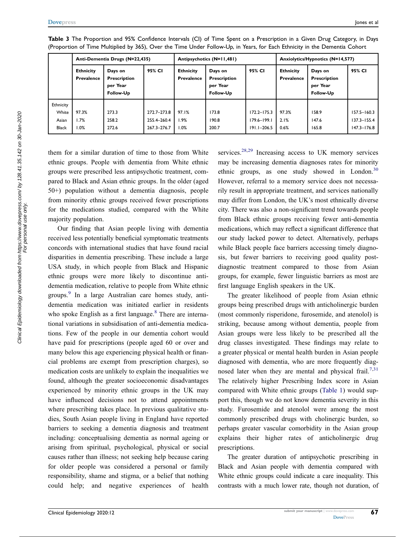|           |                                | Anti-Dementia Drugs (N=22,435)                   |             | Antipsychotics (N=11,481)             |                                                  |                 | Anxiolytics/Hypnotics (N=14,577)      |                                                  |                 |
|-----------|--------------------------------|--------------------------------------------------|-------------|---------------------------------------|--------------------------------------------------|-----------------|---------------------------------------|--------------------------------------------------|-----------------|
|           | <b>Ethnicity</b><br>Prevalence | Days on<br>Prescription<br>per Year<br>Follow-Up | 95% CI      | <b>Ethnicity</b><br><b>Prevalence</b> | Days on<br>Prescription<br>per Year<br>Follow-Up | 95% CI          | <b>Ethnicity</b><br><b>Prevalence</b> | Days on<br>Prescription<br>per Year<br>Follow-Up | 95% CI          |
| Ethnicity |                                |                                                  |             |                                       |                                                  |                 |                                       |                                                  |                 |
| White     | 97.3%                          | 273.3                                            | 272.7-273.8 | 97.1%                                 | 173.8                                            | $172.2 - 175.3$ | 97.3%                                 | 158.9                                            | $157.5 - 160.3$ |
| Asian     | 1.7%                           | 258.2                                            | 255.4-260.4 | 1.9%                                  | 190.8                                            | $179.6 - 199.1$ | 2.1%                                  | 147.6                                            | $137.3 - 155.4$ |
| Black     | 1.0%                           | 272.6                                            | 267.3-276.7 | 1.0%                                  | 200.7                                            | $191.1 - 206.5$ | 0.6%                                  | 165.8                                            | $147.3 - 176.8$ |

<span id="page-6-0"></span>Table 3 The Proportion and 95% Confidence Intervals (CI) of Time Spent on a Prescription in a Given Drug Category, in Days (Proportion of Time Multiplied by 365), Over the Time Under Follow-Up, in Years, for Each Ethnicity in the Dementia Cohort

them for a similar duration of time to those from White ethnic groups. People with dementia from White ethnic groups were prescribed less antipsychotic treatment, compared to Black and Asian ethnic groups. In the older (aged 50+) population without a dementia diagnosis, people from minority ethnic groups received fewer prescriptions for the medications studied, compared with the White majority population.

Our finding that Asian people living with dementia received less potentially beneficial symptomatic treatments concords with international studies that have found racial disparities in dementia prescribing. These include a large USA study, in which people from Black and Hispanic ethnic groups were more likely to discontinue antidementia medication, relative to people from White ethnic groups.[9](#page-9-8) In a large Australian care homes study, antidementia medication was initiated earlier in residents who spoke English as a first language. $8$  There are international variations in subsidisation of anti-dementia medications. Few of the people in our dementia cohort would have paid for prescriptions (people aged 60 or over and many below this age experiencing physical health or financial problems are exempt from prescription charges), so medication costs are unlikely to explain the inequalities we found, although the greater socioeconomic disadvantages experienced by minority ethnic groups in the UK may have influenced decisions not to attend appointments where prescribing takes place. In previous qualitative studies, South Asian people living in England have reported barriers to seeking a dementia diagnosis and treatment including: conceptualising dementia as normal ageing or arising from spiritual, psychological, physical or social causes rather than illness; not seeking help because caring for older people was considered a personal or family responsibility, shame and stigma, or a belief that nothing could help; and negative experiences of health <span id="page-6-2"></span><span id="page-6-1"></span>services. $28,29$  $28,29$  Increasing access to UK memory services may be increasing dementia diagnoses rates for minority ethnic groups, as one study showed in London.<sup>[30](#page-10-0)</sup> However, referral to a memory service does not necessarily result in appropriate treatment, and services nationally may differ from London, the UK's most ethnically diverse city. There was also a non-significant trend towards people from Black ethnic groups receiving fewer anti-dementia medications, which may reflect a significant difference that our study lacked power to detect. Alternatively, perhaps while Black people face barriers accessing timely diagnosis, but fewer barriers to receiving good quality postdiagnostic treatment compared to those from Asian groups, for example, fewer linguistic barriers as most are first language English speakers in the UK.

<span id="page-6-3"></span>The greater likelihood of people from Asian ethnic groups being prescribed drugs with anticholinergic burden (most commonly risperidone, furosemide, and atenolol) is striking, because among without dementia, people from Asian groups were less likely to be prescribed all the drug classes investigated. These findings may relate to a greater physical or mental health burden in Asian people diagnosed with dementia, who are more frequently diag-nosed later when they are mental and physical frail.<sup>[7](#page-9-6),[31](#page-10-1)</sup> The relatively higher Prescribing Index score in Asian compared with White ethnic groups [\(Table 1](#page-3-0)) would support this, though we do not know dementia severity in this study. Furosemide and atenolol were among the most commonly prescribed drugs with cholinergic burden, so perhaps greater vascular comorbidity in the Asian group explains their higher rates of anticholinergic drug prescriptions.

The greater duration of antipsychotic prescribing in Black and Asian people with dementia compared with White ethnic groups could indicate a care inequality. This contrasts with a much lower rate, though not duration, of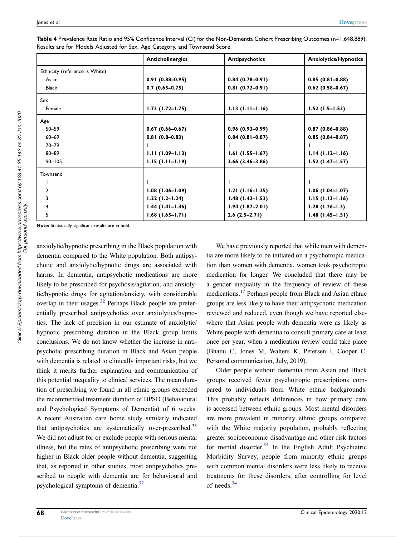|                                | <b>Anticholinergics</b> | <b>Antipsychotics</b> | <b>Anxiolytics/Hypnotics</b> |
|--------------------------------|-------------------------|-----------------------|------------------------------|
| Ethnicity (reference is White) |                         |                       |                              |
| Asian                          | $0.91(0.88 - 0.95)$     | $0.84(0.78-0.91)$     | $0.85(0.81 - 0.88)$          |
| <b>Black</b>                   | $0.7(0.65 - 0.75)$      | $0.81(0.72 - 0.91)$   | $0.62(0.58 - 0.67)$          |
| Sex                            |                         |                       |                              |
| Female                         | $1.73$ (1.72–1.75)      | $1.13(1.11 - 1.16)$   | $1.52$ (1.5-1.53)            |
| Age                            |                         |                       |                              |
| $50 - 59$                      | $0.67(0.66 - 0.67)$     | $0.96(0.93 - 0.99)$   | $0.87(0.86 - 0.88)$          |
| $60 - 69$                      | $0.81(0.8-0.83)$        | $0.84(0.81 - 0.87)$   | $0.85(0.84 - 0.87)$          |
| $70 - 79$                      |                         |                       |                              |
| $80 - 89$                      | $1.11(1.09 - 1.13)$     | $1.61(1.55 - 1.67)$   | $1.14(1.12 - 1.16)$          |
| $90 - 105$                     | $1.15(1.11 - 1.19)$     | $3.66(3.46 - 3.86)$   | $1.52$ (1.47-1.57)           |
| Townsend                       |                         |                       |                              |
|                                |                         |                       |                              |
| $\overline{2}$                 | $1.08(1.06 - 1.09)$     | $1.21(1.16-1.25)$     | $1.06(1.04-1.07)$            |
| 3                              | $1.22(1.2-1.24)$        | $1.48(1.42 - 1.53)$   | $1.15(1.13 - 1.16)$          |
| 4                              | $1.44$ (1.41–1.46)      | $1.94(1.87-2.01)$     | $1.28(1.26 - 1.3)$           |
| 5                              | $1.68(1.65 - 1.71)$     | $2.6(2.5-2.71)$       | $1.48$ (1.45-1.51)           |

<span id="page-7-0"></span>Table 4 Prevalence Rate Ratio and 95% Confidence Interval (CI) for the Non-Dementia Cohort Prescribing Outcomes (n=1,648,889). Results are for Models Adjusted for Sex, Age Category, and Townsend Score

Note: Statistically significant results are in bold.

<span id="page-7-2"></span>anxiolytic/hypnotic prescribing in the Black population with dementia compared to the White population. Both antipsychotic and anxiolytic/hypnotic drugs are associated with harms. In dementia, antipsychotic medications are more likely to be prescribed for psychosis/agitation, and anxiolytic/hypnotic drugs for agitation/anxiety, with considerable overlap in their usages. $32$  Perhaps Black people are preferentially prescribed antipsychotics over anxiolytics/hypnotics. The lack of precision in our estimate of anxiolytic/ hypnotic prescribing duration in the Black group limits conclusions. We do not know whether the increase in antipsychotic prescribing duration in Black and Asian people with dementia is related to clinically important risks, but we think it merits further explanation and communication of this potential inequality to clinical services. The mean duration of prescribing we found in all ethnic groups exceeded the recommended treatment duration of BPSD (Behavioural and Psychological Symptoms of Dementia) of 6 weeks. A recent Australian care home study similarly indicated that antipsychotics are systematically over-prescribed.<sup>33</sup> We did not adjust for or exclude people with serious mental illness, but the rates of antipsychotic prescribing were not higher in Black older people without dementia, suggesting that, as reported in other studies, most antipsychotics prescribed to people with dementia are for behavioural and psychological symptoms of dementia[.32](#page-10-2)

We have previously reported that while men with dementia are more likely to be initiated on a psychotropic medication than women with dementia, women took psychotropic medication for longer. We concluded that there may be a gender inequality in the frequency of review of these medications[.17](#page-9-16) Perhaps people from Black and Asian ethnic groups are less likely to have their antipsychotic medication reviewed and reduced, even though we have reported elsewhere that Asian people with dementia were as likely as White people with dementia to consult primary care at least once per year, when a medication review could take place (Bhanu C, Jones M, Walters K, Petersen I, Cooper C. Personal communication, July, 2019).

<span id="page-7-3"></span><span id="page-7-1"></span>Older people without dementia from Asian and Black groups received fewer psychotropic prescriptions compared to individuals from White ethnic backgrounds. This probably reflects differences in how primary care is accessed between ethnic groups. Most mental disorders are more prevalent in minority ethnic groups compared with the White majority population, probably reflecting greater socioeconomic disadvantage and other risk factors for mental disorder.<sup>[34](#page-10-4)</sup> In the English Adult Psychiatric Morbidity Survey, people from minority ethnic groups with common mental disorders were less likely to receive treatments for these disorders, after controlling for level of needs.[34](#page-10-4)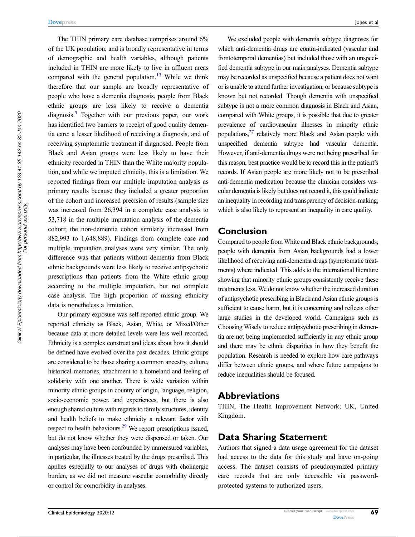The THIN primary care database comprises around 6% of the UK population, and is broadly representative in terms of demographic and health variables, although patients included in THIN are more likely to live in affluent areas compared with the general population.<sup>[13](#page-9-12)</sup> While we think therefore that our sample are broadly representative of people who have a dementia diagnosis, people from Black ethnic groups are less likely to receive a dementia diagnosis.<sup>3</sup> Together with our previous paper, our work has identified two barriers to receipt of good quality dementia care: a lesser likelihood of receiving a diagnosis, and of receiving symptomatic treatment if diagnosed. People from Black and Asian groups were less likely to have their ethnicity recorded in THIN than the White majority population, and while we imputed ethnicity, this is a limitation. We reported findings from our multiple imputation analysis as primary results because they included a greater proportion of the cohort and increased precision of results (sample size was increased from 26,394 in a complete case analysis to 53,718 in the multiple imputation analysis of the dementia cohort; the non-dementia cohort similarly increased from 882,993 to 1,648,889). Findings from complete case and multiple imputation analyses were very similar. The only difference was that patients without dementia from Black ethnic backgrounds were less likely to receive antipsychotic prescriptions than patients from the White ethnic group according to the multiple imputation, but not complete case analysis. The high proportion of missing ethnicity data is nonetheless a limitation.

Our primary exposure was self-reported ethnic group. We reported ethnicity as Black, Asian, White, or Mixed/Other because data at more detailed levels were less well recorded. Ethnicity is a complex construct and ideas about how it should be defined have evolved over the past decades. Ethnic groups are considered to be those sharing a common ancestry, culture, historical memories, attachment to a homeland and feeling of solidarity with one another. There is wide variation within minority ethnic groups in country of origin, language, religion, socio-economic power, and experiences, but there is also enough shared culture with regards to family structures, identity and health beliefs to make ethnicity a relevant factor with respect to health behaviours.<sup>29</sup> We report prescriptions issued, but do not know whether they were dispensed or taken. Our analyses may have been confounded by unmeasured variables, in particular, the illnesses treated by the drugs prescribed. This applies especially to our analyses of drugs with cholinergic burden, as we did not measure vascular comorbidity directly or control for comorbidity in analyses.

<span id="page-8-0"></span>We excluded people with dementia subtype diagnoses for which anti-dementia drugs are contra-indicated (vascular and frontotemporal dementias) but included those with an unspecified dementia subtype in our main analyses. Dementia subtype may be recorded as unspecified because a patient does not want or is unable to attend further investigation, or because subtype is known but not recorded. Though dementia with unspecified subtype is not a more common diagnosis in Black and Asian, compared with White groups, it is possible that due to greater prevalence of cardiovascular illnesses in minority ethnic populations,[27](#page-9-28) relatively more Black and Asian people with unspecified dementia subtype had vascular dementia. However, if anti-dementia drugs were not being prescribed for this reason, best practice would be to record this in the patient's records. If Asian people are more likely not to be prescribed anti-dementia medication because the clinician considers vascular dementia is likely but does not record it, this could indicate an inequality in recording and transparency of decision-making, which is also likely to represent an inequality in care quality.

#### Conclusion

Compared to people from White and Black ethnic backgrounds, people with dementia from Asian backgrounds had a lower likelihood of receiving anti-dementia drugs (symptomatic treatments) where indicated. This adds to the international literature showing that minority ethnic groups consistently receive these treatments less. We do not know whether the increased duration of antipsychotic prescribing in Black and Asian ethnic groups is sufficient to cause harm, but it is concerning and reflects other large studies in the developed world. Campaigns such as Choosing Wisely to reduce antipsychotic prescribing in dementia are not being implemented sufficiently in any ethnic group and there may be ethnic disparities in how they benefit the population. Research is needed to explore how care pathways differ between ethnic groups, and where future campaigns to reduce inequalities should be focused.

#### Abbreviations

THIN, The Health Improvement Network; UK, United Kingdom.

#### Data Sharing Statement

Authors that signed a data usage agreement for the dataset had access to the data for this study and have on-going access. The dataset consists of pseudonymized primary care records that are only accessible via passwordprotected systems to authorized users.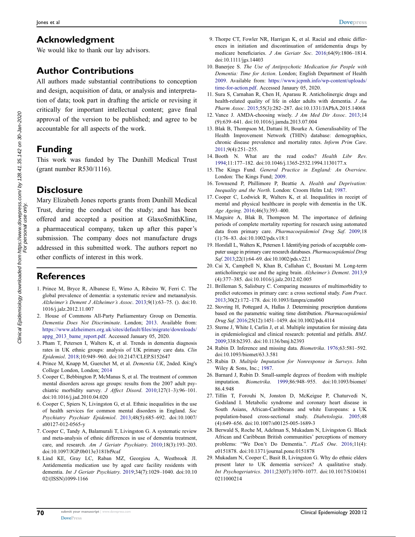# Acknowledgment

We would like to thank our lay advisors.

# Author Contributions

All authors made substantial contributions to conception and design, acquisition of data, or analysis and interpretation of data; took part in drafting the article or revising it critically for important intellectual content; gave final approval of the version to be published; and agree to be accountable for all aspects of the work.

# Funding

This work was funded by The Dunhill Medical Trust (grant number R530/1116).

# **Disclosure**

Mary Elizabeth Jones reports grants from Dunhill Medical Trust, during the conduct of the study; and has been offered and accepted a position at GlaxoSmithKline, a pharmaceutical company, taken up after this paper's submission. The company does not manufacture drugs addressed in this submitted work. The authors report no other conflicts of interest in this work.

# **References**

- <span id="page-9-0"></span>1. Prince M, Bryce R, Albanese E, Wimo A, Ribeiro W, Ferri C. The global prevalence of dementia: a systematic review and metaanalysis. Alzheimer's Dement J Alzheimer's Assoc. [2013;](#page-0-4)9(1):63–75. (). doi:[10.](https://doi.org/10.1016/j.jalz.2012.11.007) [1016/j.jalz.2012.11.007](https://doi.org/10.1016/j.jalz.2012.11.007)
- <span id="page-9-1"></span>2. House of Commons All-Party Parliamentary Group on Dementia. Dementia Does Not Discriminate. London; [2013](#page-0-5). Available from: [https://www.alzheimers.org.uk/sites/default/](https://www.alzheimers.org.uk/sites/default/files/migrate/downloads/appg_2013_bame_report.pdf)files/migrate/downloads/ [appg\\_2013\\_bame\\_report.pdf](https://www.alzheimers.org.uk/sites/default/files/migrate/downloads/appg_2013_bame_report.pdf). Accessed January 05, 2020.
- <span id="page-9-2"></span>3. Pham T, Petersen I, Walters K, et al. Trends in dementia diagnosis rates in UK ethnic groups: analysis of UK primary care data. Clin Epidemiol. [2018](#page-0-5);10:949–960. doi:[10.2147/CLEP.S152647](https://doi.org/10.2147/CLEP.S152647)
- <span id="page-9-3"></span>4. Prince M, Knapp M, Guerchet M, et al. Dementia UK, 2nded. King's College London, London; [2014](#page-1-0)
- <span id="page-9-4"></span>5. Cooper C, Bebbington P, McManus S, et al. The treatment of common mental disorders across age groups: results from the 2007 adult psychiatric morbidity survey. J Affect Disord. [2010;](#page-1-1)127(1–3):96–101. doi:[10.1016/j.jad.2010.04.020](https://doi.org/10.1016/j.jad.2010.04.020)
- <span id="page-9-5"></span>6. Cooper C, Spiers N, Livingston G, et al. Ethnic inequalities in the use of health services for common mental disorders in England. Soc Psychiatry Psychiatr Epidemiol. [2013](#page-1-1);48(5):685–692. doi:[10.1007/](https://doi.org/10.1007/s00127-012-0565-y) [s00127-012-0565-y](https://doi.org/10.1007/s00127-012-0565-y)
- <span id="page-9-6"></span>7. Cooper C, Tandy A, Balamurali T, Livingston G. A systematic review and meta-analysis of ethnic differences in use of dementia treatment, care, and research. Am J Geriatr Psychiatry. [2010;](#page-1-2)18(3):193–203. doi:[10.1097/JGP.0b013e3181bf9caf](https://doi.org/10.1097/JGP.0b013e3181bf9caf)
- <span id="page-9-7"></span>8. Lind KE, Gray LC, Raban MZ, Georgiou A, Westbrook JI. Antidementia medication use by aged care facility residents with dementia. Int J Geriatr Psychiatry. [2019](#page-1-3);34(7):1029–1040. doi:[10.10](https://doi.org/10.1002/(ISSN)1099-1166) [02/\(ISSN\)1099-1166](https://doi.org/10.1002/(ISSN)1099-1166)
- <span id="page-9-8"></span>9. Thorpe CT, Fowler NR, Harrigan K, et al. Racial and ethnic differences in initiation and discontinuation of antidementia drugs by medicare beneficiaries. J Am Geriatr Soc. [2016;](#page-1-3)64(9):1806–1814. doi:[10.1111/jgs.14403](https://doi.org/10.1111/jgs.14403)
- <span id="page-9-9"></span>10. Banerjee S. The Use of Antipsychotic Medication for People with Dementia: Time for Action. London; English Department of Health [2009.](#page-1-4) Available from: [https://www.jcpmh.info/wp-content/uploads/](https://www.jcpmh.info/wp-content/uploads/time-for-action.pdf) [time-for-action.pdf](https://www.jcpmh.info/wp-content/uploads/time-for-action.pdf). Accessed Janaury 05, 2020.
- <span id="page-9-10"></span>11. Sura S, Carnahan R, Chen H, Aparasu R. Anticholinergic drugs and health-related quality of life in older adults with dementia. J Am Pharm Assoc. [2015](#page-1-5);55(3):282–287. doi:[10.1331/JAPhA.2015.14068](https://doi.org/10.1331/JAPhA.2015.14068)
- <span id="page-9-11"></span>12. Vance J. AMDA-choosing wisely. J Am Med Dir Assoc. [2013](#page-1-6);14 (9):639–641. doi:[10.1016/j.jamda.2013.07.004](https://doi.org/10.1016/j.jamda.2013.07.004)
- <span id="page-9-12"></span>13. Blak B, Thompson M, Dattani H, Bourke A. Generalisability of The Health Improvement Network (THIN) database: demographics, chronic disease prevalence and mortality rates. Inform Prim Care. [2011](#page-1-7);9(4):251–255.
- <span id="page-9-13"></span>14. Booth N. What are the read codes? Health Libr Rev. [1994](#page-1-8);11:177–182. doi:[10.1046/j.1365-2532.1994.1130177.x](https://doi.org/10.1046/j.1365-2532.1994.1130177.x)
- <span id="page-9-14"></span>15. The Kings Fund. General Practice in England: An Overview. London: The Kings Fund; [2009](#page-1-9).
- <span id="page-9-15"></span>16. Townsend P, Phillimore P, Beattie A. Health and Deprivation: Inequality and the North. London: Croom Helm Ltd; [1987.](#page-1-10)
- <span id="page-9-16"></span>17. Cooper C, Lodwick R, Walters K, et al. Inequalities in receipt of mental and physical healthcare in people with dementia in the UK. Age Ageing. [2016;](#page-1-11)46(3):393–400.
- <span id="page-9-17"></span>18. Maguire A, Blak B, Thompson M. The importance of defining periods of complete mortality reporting for research using automated data from primary care. Pharmacoepidemiol Drug Saf. [2009](#page-1-12);18 (1):76–83. doi:[10.1002/pds.v18:1](https://doi.org/10.1002/pds.v18:1)
- <span id="page-9-18"></span>19. Horsfall L, Walters K, Petersen I. Identifying periods of acceptable computer usage in primary care research databases. Pharmacoepidemiol Drug Saf. [2013](#page-1-12);22(1):64–69. doi:[10.1002/pds.v22.1](https://doi.org/10.1002/pds.v22.1)
- <span id="page-9-19"></span>20. Cai X, Campbell N, Khan B, Callahan C, Boustani M. Long-term anticholinergic use and the aging brain. Alzheimer's Dement. [2013](#page-2-0);9 (4):377–385. doi:[10.1016/j.jalz.2012.02.005](https://doi.org/10.1016/j.jalz.2012.02.005)
- <span id="page-9-20"></span>21. Brilleman S, Salisbury C. Comparing measures of multimorbidity to predict outcomes in primary care: a cross sectional study. Fam Pract. [2013](#page-2-1);30(2):172–178. doi:[10.1093/fampra/cms060](https://doi.org/10.1093/fampra/cms060)
- <span id="page-9-21"></span>22. Stovring H, Pottegard A, Hallas J. Determining prescription durations based on the parametric waiting time distribution. Pharmacoepidemiol Drug Saf. [2016;](#page-2-2)25(12):1451–1459. doi:[10.1002/pds.4114](https://doi.org/10.1002/pds.4114)
- <span id="page-9-22"></span>23. Sterne J, White I, Carlin J, et al. Multiple imputation for missing data in epidemiological and clinical research: potential and pitfalls. BMJ. [2009](#page-2-3);338:b2393. doi:[10.1136/bmj.b2393](https://doi.org/10.1136/bmj.b2393)
- <span id="page-9-23"></span>24. Rubin D. Inference and missing data. Biometrika. [1976;](#page-2-4)63:581–592. doi:[10.1093/biomet/63.3.581](https://doi.org/10.1093/biomet/63.3.581)
- <span id="page-9-24"></span>25. Rubin D. Multiple Imputation for Nonresponse in Surveys. John Wiley & Sons, Inc.; [1987](#page-2-5).
- <span id="page-9-25"></span>26. Barnard J, Rubin D. Small-sample degrees of freedom with multiple imputation. Biometrika. [1999](#page-2-5);86:948–955. doi:[10.1093/biomet/](https://doi.org/10.1093/biomet/86.4.948) [86.4.948](https://doi.org/10.1093/biomet/86.4.948)
- <span id="page-9-28"></span>27. Tillin T, Forouhi N, Jonston D, McKeigue P, Chaturvedi N, Godsland I. Metabolic syndrome and coronary heart disease in South Asians, African-Caribbeans and white Europeans: a UK population-based cross-sectional study. Diabetologia. [2005](#page-8-0);48 (4):649–656. doi:[10.1007/s00125-005-1689-3](https://doi.org/10.1007/s00125-005-1689-3)
- <span id="page-9-26"></span>28. Berwald S, Roche M, Adelman S, Mukadam N, Livingston G. Black African and Caribbean British communities' perceptions of memory problems: "We Don't Do Dementia.". PLoS One. [2016;](#page-6-1)11(4): e0151878. doi:[10.1371/journal.pone.0151878](https://doi.org/10.1371/journal.pone.0151878)
- <span id="page-9-27"></span>29. Mukadam N, Cooper C, Basit B, Livingston G. Why do ethnic elders present later to UK dementia services? A qualitative study. Int Psychogeriatrics. [2011](#page-6-1);23(07):1070–1077. doi:[10.1017/S104161](https://doi.org/10.1017/S1041610211000214) [0211000214](https://doi.org/10.1017/S1041610211000214)